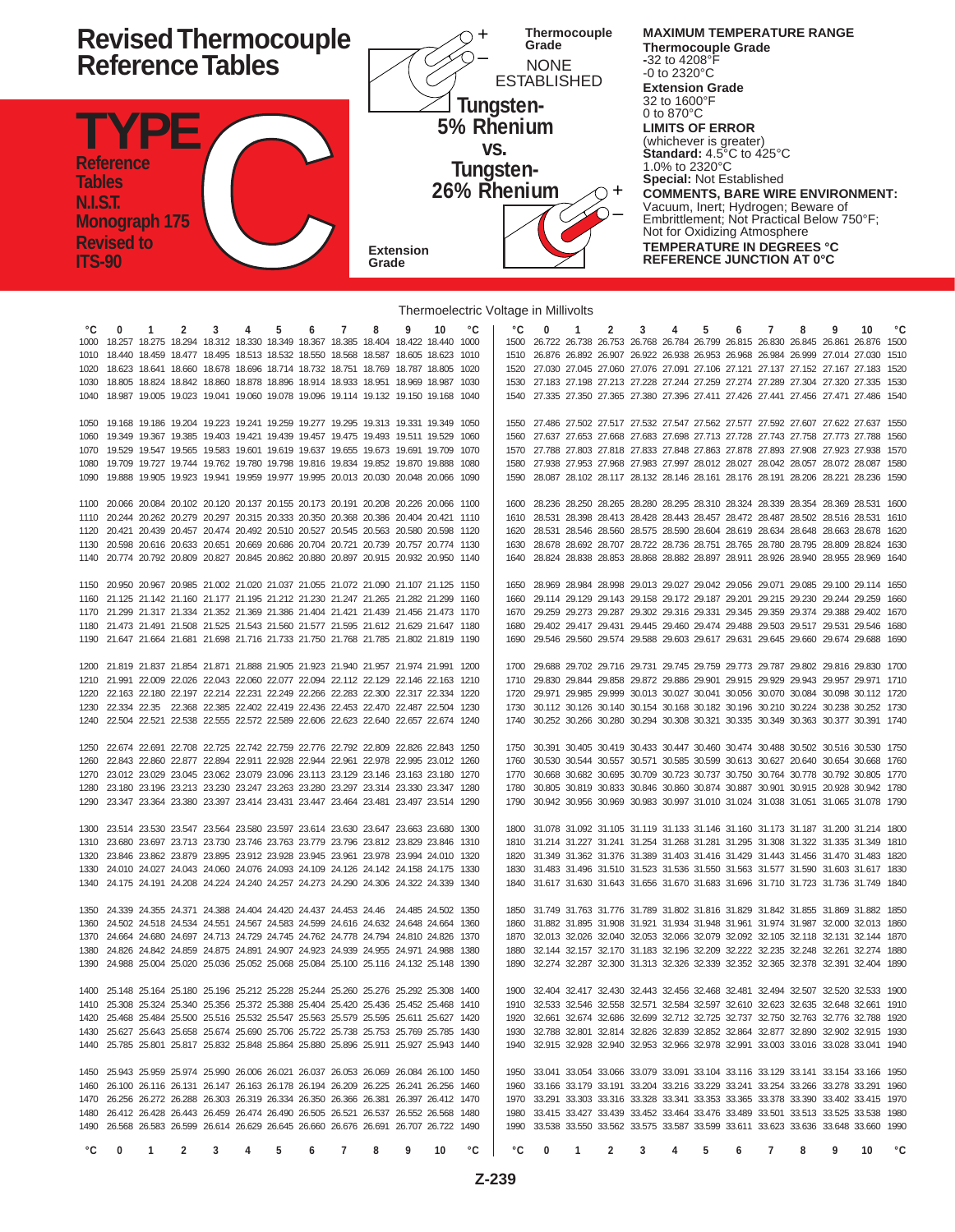

Thermoelectric Voltage in Millivolts

|    |                                                                                        |              |                |                |                |                |   |                 |   |   |    |    | Thermoelectric voltage in Millivolts |                                                                                        |              |                |                |                 |                |   |                |   |   |    |             |
|----|----------------------------------------------------------------------------------------|--------------|----------------|----------------|----------------|----------------|---|-----------------|---|---|----|----|--------------------------------------|----------------------------------------------------------------------------------------|--------------|----------------|----------------|-----------------|----------------|---|----------------|---|---|----|-------------|
| °C | $\Omega$                                                                               | $\mathbf{1}$ | $\overline{2}$ | 3              | $\overline{4}$ | $5^{\circ}$    | 6 | $7\overline{ }$ | 8 | 9 | 10 | °C | °€                                   | $\mathbf{0}$                                                                           | $\mathbf{1}$ | $\overline{2}$ | $\overline{3}$ | $4\overline{ }$ | 5 <sub>5</sub> | 6 | $7^{\circ}$    | 8 | 9 | 10 | °C          |
|    | 1000 18.257 18.275 18.294 18.312 18.330 18.349 18.367 18.385 18.404 18.422 18.440 1000 |              |                |                |                |                |   |                 |   |   |    |    |                                      | 1500 26.722 26.738 26.753 26.768 26.784 26.799 26.815 26.830 26.845 26.861 26.876 1500 |              |                |                |                 |                |   |                |   |   |    |             |
|    | 1010 18.440 18.459 18.477 18.495 18.513 18.532 18.550 18.568 18.587 18.605 18.623 1010 |              |                |                |                |                |   |                 |   |   |    |    |                                      | 1510 26.876 26.892 26.907 26.922 26.938 26.953 26.968 26.984 26.999 27.014 27.030 1510 |              |                |                |                 |                |   |                |   |   |    |             |
|    | 1020 18.623 18.641 18.660 18.678 18.696 18.714 18.732 18.751 18.769 18.787 18.805 1020 |              |                |                |                |                |   |                 |   |   |    |    |                                      | 1520 27.030 27.045 27.060 27.076 27.091 27.106 27.121 27.137 27.152 27.167 27.183 1520 |              |                |                |                 |                |   |                |   |   |    |             |
|    | 1030 18.805 18.824 18.842 18.860 18.878 18.896 18.914 18.933 18.951 18.969 18.987 1030 |              |                |                |                |                |   |                 |   |   |    |    |                                      | 1530 27.183 27.198 27.213 27.228 27.244 27.259 27.274 27.289 27.304 27.320 27.335 1530 |              |                |                |                 |                |   |                |   |   |    |             |
|    | 1040 18.987 19.005 19.023 19.041 19.060 19.078 19.096 19.114 19.132 19.150 19.168 1040 |              |                |                |                |                |   |                 |   |   |    |    |                                      | 1540 27.335 27.350 27.365 27.380 27.396 27.411 27.426 27.441 27.456 27.471 27.486 1540 |              |                |                |                 |                |   |                |   |   |    |             |
|    |                                                                                        |              |                |                |                |                |   |                 |   |   |    |    |                                      |                                                                                        |              |                |                |                 |                |   |                |   |   |    |             |
|    | 1050 19.168 19.186 19.204 19.223 19.241 19.259 19.277 19.295 19.313 19.331 19.349 1050 |              |                |                |                |                |   |                 |   |   |    |    |                                      | 1550 27.486 27.502 27.517 27.532 27.547 27.562 27.577 27.592 27.607 27.622 27.637 1550 |              |                |                |                 |                |   |                |   |   |    |             |
|    | 1060 19.349 19.367 19.385 19.403 19.421 19.439 19.457 19.475 19.493 19.511 19.529 1060 |              |                |                |                |                |   |                 |   |   |    |    |                                      | 1560 27.637 27.653 27.668 27.683 27.698 27.713 27.728 27.743 27.758 27.773 27.788 1560 |              |                |                |                 |                |   |                |   |   |    |             |
|    | 1070 19.529 19.547 19.565 19.583 19.601 19.619 19.637 19.655 19.673 19.691 19.709 1070 |              |                |                |                |                |   |                 |   |   |    |    |                                      | 1570 27.788 27.803 27.818 27.833 27.848 27.863 27.878 27.893 27.908 27.923 27.938 1570 |              |                |                |                 |                |   |                |   |   |    |             |
|    | 1080 19.709 19.727 19.744 19.762 19.780 19.798 19.816 19.834 19.852 19.870 19.888 1080 |              |                |                |                |                |   |                 |   |   |    |    |                                      | 1580 27.938 27.953 27.968 27.983 27.997 28.012 28.027 28.042 28.057 28.072 28.087 1580 |              |                |                |                 |                |   |                |   |   |    |             |
|    | 1090 19.888 19.905 19.923 19.941 19.959 19.977 19.995 20.013 20.030 20.048 20.066 1090 |              |                |                |                |                |   |                 |   |   |    |    |                                      | 1590 28.087 28.102 28.117 28.132 28.146 28.161 28.176 28.191 28.206 28.221 28.236 1590 |              |                |                |                 |                |   |                |   |   |    |             |
|    |                                                                                        |              |                |                |                |                |   |                 |   |   |    |    |                                      |                                                                                        |              |                |                |                 |                |   |                |   |   |    |             |
|    | 1100 20.066 20.084 20.102 20.120 20.137 20.155 20.173 20.191 20.208 20.226 20.066 1100 |              |                |                |                |                |   |                 |   |   |    |    |                                      | 1600 28.236 28.250 28.265 28.280 28.295 28.310 28.324 28.339 28.354 28.369 28.531 1600 |              |                |                |                 |                |   |                |   |   |    |             |
|    | 1110 20.244 20.262 20.279 20.297 20.315 20.333 20.350 20.368 20.386 20.404 20.421 1110 |              |                |                |                |                |   |                 |   |   |    |    |                                      | 1610 28.531 28.398 28.413 28.428 28.443 28.457 28.472 28.487 28.502 28.516 28.531 1610 |              |                |                |                 |                |   |                |   |   |    |             |
|    | 1120 20.421 20.439 20.457 20.474 20.492 20.510 20.527 20.545 20.563 20.580 20.598 1120 |              |                |                |                |                |   |                 |   |   |    |    |                                      | 1620 28.531 28.546 28.560 28.575 28.590 28.604 28.619 28.634 28.648 28.663 28.678 1620 |              |                |                |                 |                |   |                |   |   |    |             |
|    | 1130 20.598 20.616 20.633 20.651 20.669 20.686 20.704 20.721 20.739 20.757 20.774 1130 |              |                |                |                |                |   |                 |   |   |    |    |                                      | 1630 28.678 28.692 28.707 28.722 28.736 28.751 28.765 28.780 28.795 28.809 28.824 1630 |              |                |                |                 |                |   |                |   |   |    |             |
|    | 1140 20.774 20.792 20.809 20.827 20.845 20.862 20.880 20.897 20.915 20.932 20.950 1140 |              |                |                |                |                |   |                 |   |   |    |    |                                      | 1640 28.824 28.838 28.853 28.868 28.882 28.897 28.911 28.926 28.940 28.955 28.969 1640 |              |                |                |                 |                |   |                |   |   |    |             |
|    | 1150 20.950 20.967 20.985 21.002 21.020 21.037 21.055 21.072 21.090 21.107 21.125 1150 |              |                |                |                |                |   |                 |   |   |    |    |                                      | 1650 28.969 28.984 28.998 29.013 29.027 29.042 29.056 29.071 29.085 29.100 29.114 1650 |              |                |                |                 |                |   |                |   |   |    |             |
|    | 1160 21.125 21.142 21.160 21.177 21.195 21.212 21.230 21.247 21.265 21.282 21.299 1160 |              |                |                |                |                |   |                 |   |   |    |    |                                      | 1660 29.114 29.129 29.143 29.158 29.172 29.187 29.201 29.215 29.230 29.244 29.259 1660 |              |                |                |                 |                |   |                |   |   |    |             |
|    | 1170 21.299 21.317 21.334 21.352 21.369 21.386 21.404 21.421 21.439 21.456 21.473 1170 |              |                |                |                |                |   |                 |   |   |    |    |                                      | 1670 29.259 29.273 29.287 29.302 29.316 29.331 29.345 29.359 29.374 29.388 29.402 1670 |              |                |                |                 |                |   |                |   |   |    |             |
|    | 1180 21.473 21.491 21.508 21.525 21.543 21.560 21.577 21.595 21.612 21.629 21.647 1180 |              |                |                |                |                |   |                 |   |   |    |    |                                      | 1680 29.402 29.417 29.431 29.445 29.460 29.474 29.488 29.503 29.517 29.531 29.546 1680 |              |                |                |                 |                |   |                |   |   |    |             |
|    | 1190 21.647 21.664 21.681 21.698 21.716 21.733 21.750 21.768 21.785 21.802 21.819 1190 |              |                |                |                |                |   |                 |   |   |    |    |                                      | 1690 29.546 29.560 29.574 29.588 29.603 29.617 29.631 29.645 29.660 29.674 29.688 1690 |              |                |                |                 |                |   |                |   |   |    |             |
|    |                                                                                        |              |                |                |                |                |   |                 |   |   |    |    |                                      |                                                                                        |              |                |                |                 |                |   |                |   |   |    |             |
|    | 1200 21.819 21.837 21.854 21.871 21.888 21.905 21.923 21.940 21.957 21.974 21.991 1200 |              |                |                |                |                |   |                 |   |   |    |    |                                      | 1700 29.688 29.702 29.716 29.731 29.745 29.759 29.773 29.787 29.802 29.816 29.830 1700 |              |                |                |                 |                |   |                |   |   |    |             |
|    | 1210 21.991 22.009 22.026 22.043 22.060 22.077 22.094 22.112 22.129 22.146 22.163 1210 |              |                |                |                |                |   |                 |   |   |    |    |                                      | 1710 29.830 29.844 29.858 29.872 29.886 29.901 29.915 29.929 29.943 29.957 29.971 1710 |              |                |                |                 |                |   |                |   |   |    |             |
|    | 1220 22.163 22.180 22.197 22.214 22.231 22.249 22.266 22.283 22.300 22.317 22.334 1220 |              |                |                |                |                |   |                 |   |   |    |    |                                      | 1720 29.971 29.985 29.999 30.013 30.027 30.041 30.056 30.070 30.084 30.098 30.112 1720 |              |                |                |                 |                |   |                |   |   |    |             |
|    | 1230 22.334 22.35 22.368 22.385 22.402 22.419 22.436 22.453 22.470 22.487 22.504 1230  |              |                |                |                |                |   |                 |   |   |    |    |                                      | 1730 30.112 30.126 30.140 30.154 30.168 30.182 30.196 30.210 30.224 30.238 30.252 1730 |              |                |                |                 |                |   |                |   |   |    |             |
|    | 1240 22.504 22.521 22.538 22.555 22.572 22.589 22.606 22.623 22.640 22.657 22.674 1240 |              |                |                |                |                |   |                 |   |   |    |    |                                      | 1740 30.252 30.266 30.280 30.294 30.308 30.321 30.335 30.349 30.363 30.377 30.391 1740 |              |                |                |                 |                |   |                |   |   |    |             |
|    |                                                                                        |              |                |                |                |                |   |                 |   |   |    |    |                                      |                                                                                        |              |                |                |                 |                |   |                |   |   |    |             |
|    | 1250 22.674 22.691 22.708 22.725 22.742 22.759 22.776 22.792 22.809 22.826 22.843 1250 |              |                |                |                |                |   |                 |   |   |    |    |                                      | 1750 30.391 30.405 30.419 30.433 30.447 30.460 30.474 30.488 30.502 30.516 30.530 1750 |              |                |                |                 |                |   |                |   |   |    |             |
|    | 1260 22.843 22.860 22.877 22.894 22.911 22.928 22.944 22.961 22.978 22.995 23.012 1260 |              |                |                |                |                |   |                 |   |   |    |    |                                      | 1760 30.530 30.544 30.557 30.571 30.585 30.599 30.613 30.627 20.640 30.654 30.668 1760 |              |                |                |                 |                |   |                |   |   |    |             |
|    | 1270 23.012 23.029 23.045 23.062 23.079 23.096 23.113 23.129 23.146 23.163 23.180 1270 |              |                |                |                |                |   |                 |   |   |    |    |                                      | 1770 30.668 30.682 30.695 30.709 30.723 30.737 30.750 30.764 30.778 30.792 30.805 1770 |              |                |                |                 |                |   |                |   |   |    |             |
|    | 1280 23.180 23.196 23.213 23.230 23.247 23.263 23.280 23.297 23.314 23.330 23.347 1280 |              |                |                |                |                |   |                 |   |   |    |    |                                      | 1780 30.805 30.819 30.833 30.846 30.860 30.874 30.887 30.901 30.915 20.928 30.942 1780 |              |                |                |                 |                |   |                |   |   |    |             |
|    | 1290 23.347 23.364 23.380 23.397 23.414 23.431 23.447 23.464 23.481 23.497 23.514 1290 |              |                |                |                |                |   |                 |   |   |    |    |                                      | 1790 30.942 30.956 30.969 30.983 30.997 31.010 31.024 31.038 31.051 31.065 31.078 1790 |              |                |                |                 |                |   |                |   |   |    |             |
|    |                                                                                        |              |                |                |                |                |   |                 |   |   |    |    |                                      |                                                                                        |              |                |                |                 |                |   |                |   |   |    |             |
|    | 1300 23.514 23.530 23.547 23.564 23.580 23.597 23.614 23.630 23.647 23.663 23.680 1300 |              |                |                |                |                |   |                 |   |   |    |    |                                      | 1800 31.078 31.092 31.105 31.119 31.133 31.146 31.160 31.173 31.187 31.200 31.214 1800 |              |                |                |                 |                |   |                |   |   |    |             |
|    | 1310 23.680 23.697 23.713 23.730 23.746 23.763 23.779 23.796 23.812 23.829 23.846 1310 |              |                |                |                |                |   |                 |   |   |    |    |                                      | 1810 31.214 31.227 31.241 31.254 31.268 31.281 31.295 31.308 31.322 31.335 31.349 1810 |              |                |                |                 |                |   |                |   |   |    |             |
|    | 1320 23.846 23.862 23.879 23.895 23.912 23.928 23.945 23.961 23.978 23.994 24.010 1320 |              |                |                |                |                |   |                 |   |   |    |    |                                      | 1820 31.349 31.362 31.376 31.389 31.403 31.416 31.429 31.443 31.456 31.470 31.483 1820 |              |                |                |                 |                |   |                |   |   |    |             |
|    | 1330 24.010 24.027 24.043 24.060 24.076 24.093 24.109 24.126 24.142 24.158 24.175 1330 |              |                |                |                |                |   |                 |   |   |    |    |                                      | 1830 31.483 31.496 31.510 31.523 31.536 31.550 31.563 31.577 31.590 31.603 31.617 1830 |              |                |                |                 |                |   |                |   |   |    |             |
|    | 1340 24.175 24.191 24.208 24.224 24.240 24.257 24.273 24.290 24.306 24.322 24.339 1340 |              |                |                |                |                |   |                 |   |   |    |    |                                      | 1840 31.617 31.630 31.643 31.656 31.670 31.683 31.696 31.710 31.723 31.736 31.749 1840 |              |                |                |                 |                |   |                |   |   |    |             |
|    |                                                                                        |              |                |                |                |                |   |                 |   |   |    |    |                                      |                                                                                        |              |                |                |                 |                |   |                |   |   |    |             |
|    | 1350 24.339 24.355 24.371 24.388 24.404 24.420 24.437 24.453 24.46 24.485 24.502 1350  |              |                |                |                |                |   |                 |   |   |    |    |                                      | 1850 31.749 31.763 31.776 31.789 31.802 31.816 31.829 31.842 31.855 31.869 31.882 1850 |              |                |                |                 |                |   |                |   |   |    |             |
|    | 1360 24.502 24.518 24.534 24.551 24.567 24.583 24.599 24.616 24.632 24.648 24.664 1360 |              |                |                |                |                |   |                 |   |   |    |    |                                      | 1860 31.882 31.895 31.908 31.921 31.934 31.948 31.961 31.974 31.987 32.000 32.013 1860 |              |                |                |                 |                |   |                |   |   |    |             |
|    | 1370 24.664 24.680 24.697 24.713 24.729 24.745 24.762 24.778 24.794 24.810 24.826 1370 |              |                |                |                |                |   |                 |   |   |    |    |                                      | 1870 32.013 32.026 32.040 32.053 32.066 32.079 32.092 32.105 32.118 32.131 32.144 1870 |              |                |                |                 |                |   |                |   |   |    |             |
|    | 1380 24.826 24.842 24.859 24.875 24.891 24.907 24.923 24.939 24.955 24.971 24.988 1380 |              |                |                |                |                |   |                 |   |   |    |    |                                      | 1880 32.144 32.157 32.170 31.183 32.196 32.209 32.222 32.235 32.248 32.261 32.274 1880 |              |                |                |                 |                |   |                |   |   |    |             |
|    | 1390 24.988 25.004 25.020 25.036 25.052 25.068 25.084 25.100 25.116 24.132 25.148 1390 |              |                |                |                |                |   |                 |   |   |    |    |                                      | 1890 32.274 32.287 32.300 31.313 32.326 32.339 32.352 32.365 32.378 32.391 32.404 1890 |              |                |                |                 |                |   |                |   |   |    |             |
|    | 1400 25.148 25.164 25.180 25.196 25.212 25.228 25.244 25.260 25.276 25.292 25.308 1400 |              |                |                |                |                |   |                 |   |   |    |    |                                      | 1900 32.404 32.417 32.430 32.443 32.456 32.468 32.481 32.494 32.507 32.520 32.533 1900 |              |                |                |                 |                |   |                |   |   |    |             |
|    | 1410 25.308 25.324 25.340 25.356 25.372 25.388 25.404 25.420 25.436 25.452 25.468 1410 |              |                |                |                |                |   |                 |   |   |    |    |                                      | 1910 32.533 32.546 32.558 32.571 32.584 32.597 32.610 32.623 32.635 32.648 32.661 1910 |              |                |                |                 |                |   |                |   |   |    |             |
|    | 1420 25.468 25.484 25.500 25.516 25.532 25.547 25.563 25.579 25.595 25.611 25.627 1420 |              |                |                |                |                |   |                 |   |   |    |    |                                      | 1920 32.661 32.674 32.686 32.699 32.712 32.725 32.737 32.750 32.763 32.776 32.788 1920 |              |                |                |                 |                |   |                |   |   |    |             |
|    | 1430 25.627 25.643 25.658 25.674 25.690 25.706 25.722 25.738 25.753 25.769 25.785 1430 |              |                |                |                |                |   |                 |   |   |    |    |                                      | 1930 32.788 32.801 32.814 32.826 32.839 32.852 32.864 32.877 32.890 32.902 32.915 1930 |              |                |                |                 |                |   |                |   |   |    |             |
|    | 1440 25.785 25.801 25.817 25.832 25.848 25.864 25.880 25.896 25.911 25.927 25.943 1440 |              |                |                |                |                |   |                 |   |   |    |    |                                      | 1940 32.915 32.928 32.940 32.953 32.966 32.978 32.991 33.003 33.016 33.028 33.041 1940 |              |                |                |                 |                |   |                |   |   |    |             |
|    |                                                                                        |              |                |                |                |                |   |                 |   |   |    |    |                                      |                                                                                        |              |                |                |                 |                |   |                |   |   |    |             |
|    | 1450 25.943 25.959 25.974 25.990 26.006 26.021 26.037 26.053 26.069 26.084 26.100 1450 |              |                |                |                |                |   |                 |   |   |    |    |                                      | 1950 33.041 33.054 33.066 33.079 33.091 33.104 33.116 33.129 33.141 33.154 33.166 1950 |              |                |                |                 |                |   |                |   |   |    |             |
|    | 1460 26.100 26.116 26.131 26.147 26.163 26.178 26.194 26.209 26.225 26.241 26.256 1460 |              |                |                |                |                |   |                 |   |   |    |    |                                      | 1960 33.166 33.179 33.191 33.204 33.216 33.229 33.241 33.254 33.266 33.278 33.291 1960 |              |                |                |                 |                |   |                |   |   |    |             |
|    | 1470 26.256 26.272 26.288 26.303 26.319 26.334 26.350 26.366 26.381 26.397 26.412 1470 |              |                |                |                |                |   |                 |   |   |    |    |                                      | 1970 33.291 33.303 33.316 33.328 33.341 33.353 33.365 33.378 33.390 33.402 33.415 1970 |              |                |                |                 |                |   |                |   |   |    |             |
|    | 1480 26.412 26.428 26.443 26.459 26.474 26.490 26.505 26.521 26.537 26.552 26.568 1480 |              |                |                |                |                |   |                 |   |   |    |    |                                      | 1980 33.415 33.427 33.439 33.452 33.464 33.476 33.489 33.501 33.513 33.525 33.538 1980 |              |                |                |                 |                |   |                |   |   |    |             |
|    | 1490 26.568 26.583 26.599 26.614 26.629 26.645 26.660 26.676 26.691 26.707 26.722 1490 |              |                |                |                |                |   |                 |   |   |    |    |                                      | 1990 33.538 33.550 33.562 33.575 33.587 33.599 33.611 33.623 33.636 33.648 33.660 1990 |              |                |                |                 |                |   |                |   |   |    |             |
|    |                                                                                        |              |                |                |                |                |   |                 |   |   |    |    |                                      |                                                                                        |              |                |                |                 |                |   |                |   |   |    |             |
| °C | $\mathbf 0$                                                                            | $\mathbf{1}$ | 2              | 3 <sup>1</sup> | $\overline{4}$ | 5 <sub>5</sub> | 6 | $7^{\circ}$     | 8 | 9 | 10 | °C | °C                                   | $\bf{0}$                                                                               | $\mathbf{1}$ | 2              | 3              | 4               | 5              | 6 | $\overline{7}$ | 8 | 9 | 10 | $^{\circ}C$ |